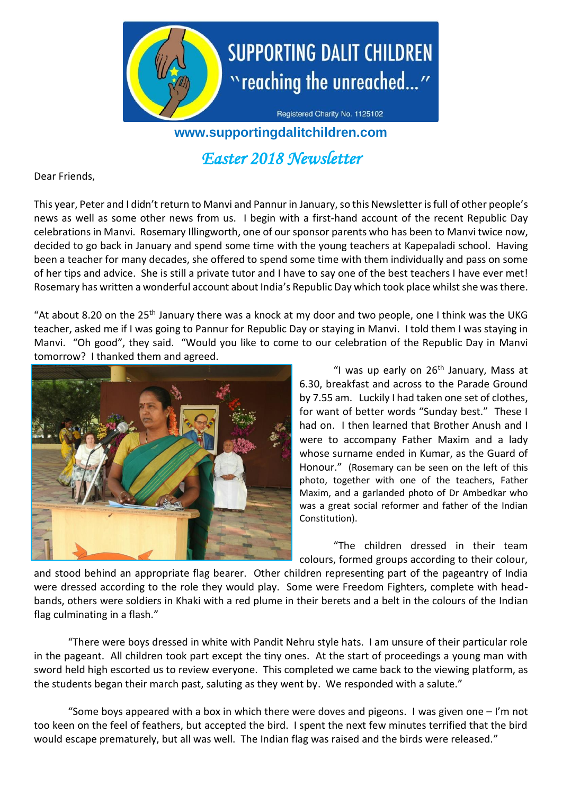

Registered Charity No. 1125102

## **www.supportingdalitchildren.com**

# *Easter 2018 Newsletter*

Dear Friends,

This year, Peter and I didn't return to Manvi and Pannur in January,so this Newsletter is full of other people's news as well as some other news from us. I begin with a first-hand account of the recent Republic Day celebrations in Manvi. Rosemary Illingworth, one of our sponsor parents who has been to Manvi twice now, decided to go back in January and spend some time with the young teachers at Kapepaladi school. Having been a teacher for many decades, she offered to spend some time with them individually and pass on some of her tips and advice. She is still a private tutor and I have to say one of the best teachers I have ever met! Rosemary has written a wonderful account about India's Republic Day which took place whilst she was there.

"At about 8.20 on the 25<sup>th</sup> January there was a knock at my door and two people, one I think was the UKG teacher, asked me if I was going to Pannur for Republic Day or staying in Manvi. I told them I was staying in Manvi. "Oh good", they said. "Would you like to come to our celebration of the Republic Day in Manvi tomorrow? I thanked them and agreed.



"I was up early on  $26<sup>th</sup>$  January, Mass at 6.30, breakfast and across to the Parade Ground by 7.55 am. Luckily I had taken one set of clothes, for want of better words "Sunday best." These I had on. I then learned that Brother Anush and I were to accompany Father Maxim and a lady whose surname ended in Kumar, as the Guard of Honour." (Rosemary can be seen on the left of this photo, together with one of the teachers, Father Maxim, and a garlanded photo of Dr Ambedkar who was a great social reformer and father of the Indian Constitution).

"The children dressed in their team colours, formed groups according to their colour,

and stood behind an appropriate flag bearer. Other children representing part of the pageantry of India were dressed according to the role they would play. Some were Freedom Fighters, complete with headbands, others were soldiers in Khaki with a red plume in their berets and a belt in the colours of the Indian flag culminating in a flash."

"There were boys dressed in white with Pandit Nehru style hats. I am unsure of their particular role in the pageant. All children took part except the tiny ones. At the start of proceedings a young man with sword held high escorted us to review everyone. This completed we came back to the viewing platform, as the students began their march past, saluting as they went by. We responded with a salute."

"Some boys appeared with a box in which there were doves and pigeons. I was given one  $-1$ 'm not too keen on the feel of feathers, but accepted the bird. I spent the next few minutes terrified that the bird would escape prematurely, but all was well. The Indian flag was raised and the birds were released."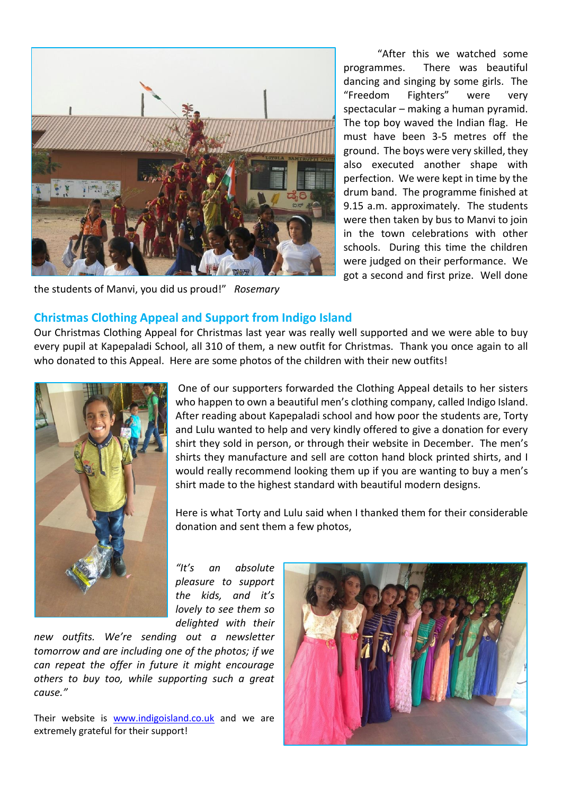

the students of Manvi, you did us proud!" *Rosemary*

"After this we watched some programmes. There was beautiful dancing and singing by some girls. The "Freedom Fighters" were very spectacular – making a human pyramid. The top boy waved the Indian flag. He must have been 3-5 metres off the ground. The boys were very skilled, they also executed another shape with perfection. We were kept in time by the drum band. The programme finished at 9.15 a.m. approximately. The students were then taken by bus to Manvi to join in the town celebrations with other schools. During this time the children were judged on their performance. We got a second and first prize. Well done

## **Christmas Clothing Appeal and Support from Indigo Island**

Our Christmas Clothing Appeal for Christmas last year was really well supported and we were able to buy every pupil at Kapepaladi School, all 310 of them, a new outfit for Christmas. Thank you once again to all who donated to this Appeal. Here are some photos of the children with their new outfits!



One of our supporters forwarded the Clothing Appeal details to her sisters who happen to own a beautiful men's clothing company, called Indigo Island. After reading about Kapepaladi school and how poor the students are, Torty and Lulu wanted to help and very kindly offered to give a donation for every shirt they sold in person, or through their website in December. The men's shirts they manufacture and sell are cotton hand block printed shirts, and I would really recommend looking them up if you are wanting to buy a men's shirt made to the highest standard with beautiful modern designs.

Here is what Torty and Lulu said when I thanked them for their considerable donation and sent them a few photos,

*"It's an absolute pleasure to support the kids, and it's lovely to see them so delighted with their* 

*new outfits. We're sending out a newsletter tomorrow and are including one of the photos; if we can repeat the offer in future it might encourage others to buy too, while supporting such a great cause."*

Their website is [www.indigoisland.co.uk](http://www.indigoisland.co.uk/) and we are extremely grateful for their support!

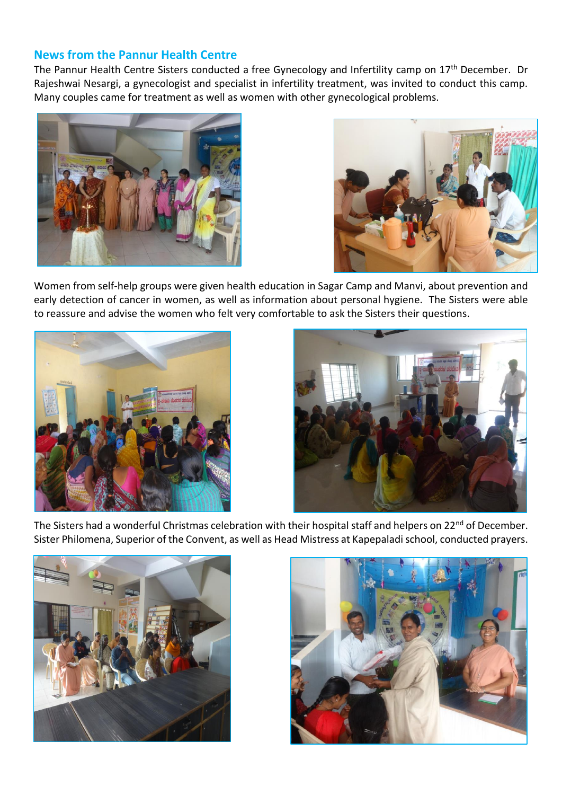## **News from the Pannur Health Centre**

The Pannur Health Centre Sisters conducted a free Gynecology and Infertility camp on 17<sup>th</sup> December. Dr Rajeshwai Nesargi, a gynecologist and specialist in infertility treatment, was invited to conduct this camp. Many couples came for treatment as well as women with other gynecological problems.





Women from self-help groups were given health education in Sagar Camp and Manvi, about prevention and early detection of cancer in women, as well as information about personal hygiene. The Sisters were able to reassure and advise the women who felt very comfortable to ask the Sisters their questions.





The Sisters had a wonderful Christmas celebration with their hospital staff and helpers on 22<sup>nd</sup> of December. Sister Philomena, Superior of the Convent, as well as Head Mistress at Kapepaladischool, conducted prayers.